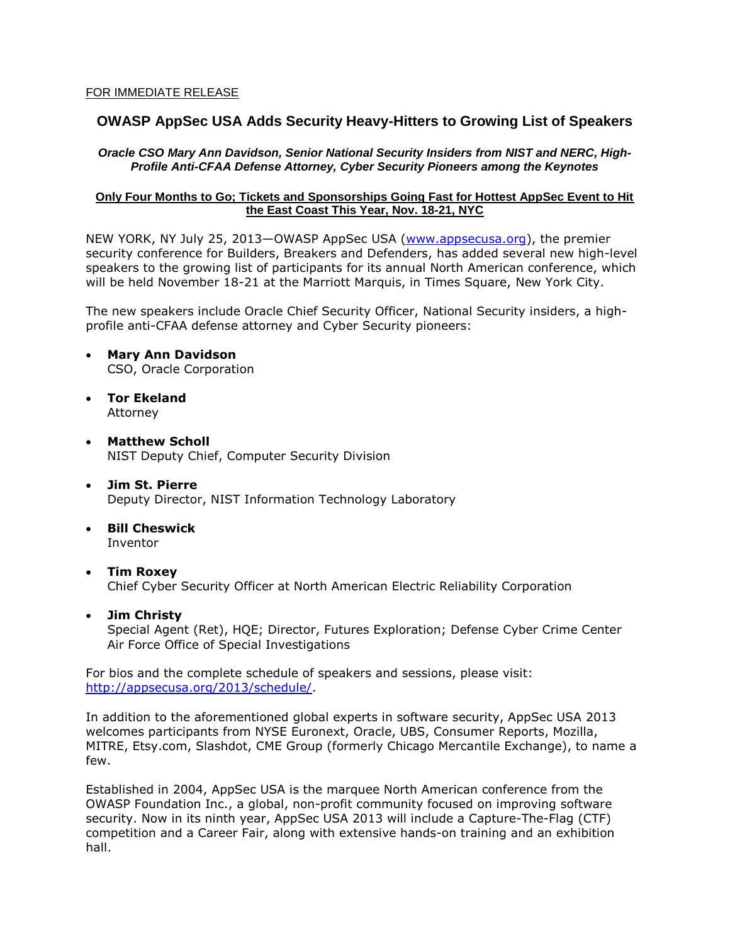# **OWASP AppSec USA Adds Security Heavy-Hitters to Growing List of Speakers**

#### *Oracle CSO Mary Ann Davidson, Senior National Security Insiders from NIST and NERC, High-Profile Anti-CFAA Defense Attorney, Cyber Security Pioneers among the Keynotes*

### **Only Four Months to Go; Tickets and Sponsorships Going Fast for Hottest AppSec Event to Hit the East Coast This Year, Nov. 18-21, NYC**

NEW YORK, NY July 25, 2013—OWASP AppSec USA [\(www.appsecusa.org\)](../Library/Containers/com.apple.mail/Data/Library/Mail%20Downloads/www.appsecusa.com), the premier security conference for Builders, Breakers and Defenders, has added several new high-level speakers to the growing list of participants for its annual North American conference, which will be held November 18-21 at the Marriott Marquis, in Times Square, New York City.

The new speakers include Oracle Chief Security Officer, National Security insiders, a highprofile anti-CFAA defense attorney and Cyber Security pioneers:

- **Mary Ann Davidson** CSO, Oracle Corporation
- **Tor Ekeland** Attorney
- **Matthew Scholl** NIST Deputy Chief, Computer Security Division
- **Jim St. Pierre** Deputy Director, NIST Information Technology Laboratory
- **Bill Cheswick** Inventor
- **Tim Roxey** Chief Cyber Security Officer at North American Electric Reliability Corporation
- **Jim Christy** Special Agent (Ret), HQE; Director, Futures Exploration; Defense Cyber Crime Center Air Force Office of Special Investigations

For bios and the complete schedule of speakers and sessions, please visit: [http://appsecusa.org/2013/schedule/.](http://appsecusa.org/2013/schedule/)

In addition to the aforementioned global experts in software security, AppSec USA 2013 welcomes participants from NYSE Euronext, Oracle, UBS, Consumer Reports, Mozilla, MITRE, Etsy.com, Slashdot, CME Group (formerly Chicago Mercantile Exchange), to name a few.

Established in 2004, AppSec USA is the marquee North American conference from the OWASP Foundation Inc., a global, non-profit community focused on improving software security. Now in its ninth year, AppSec USA 2013 will include a Capture-The-Flag (CTF) competition and a Career Fair, along with extensive hands-on training and an exhibition hall.